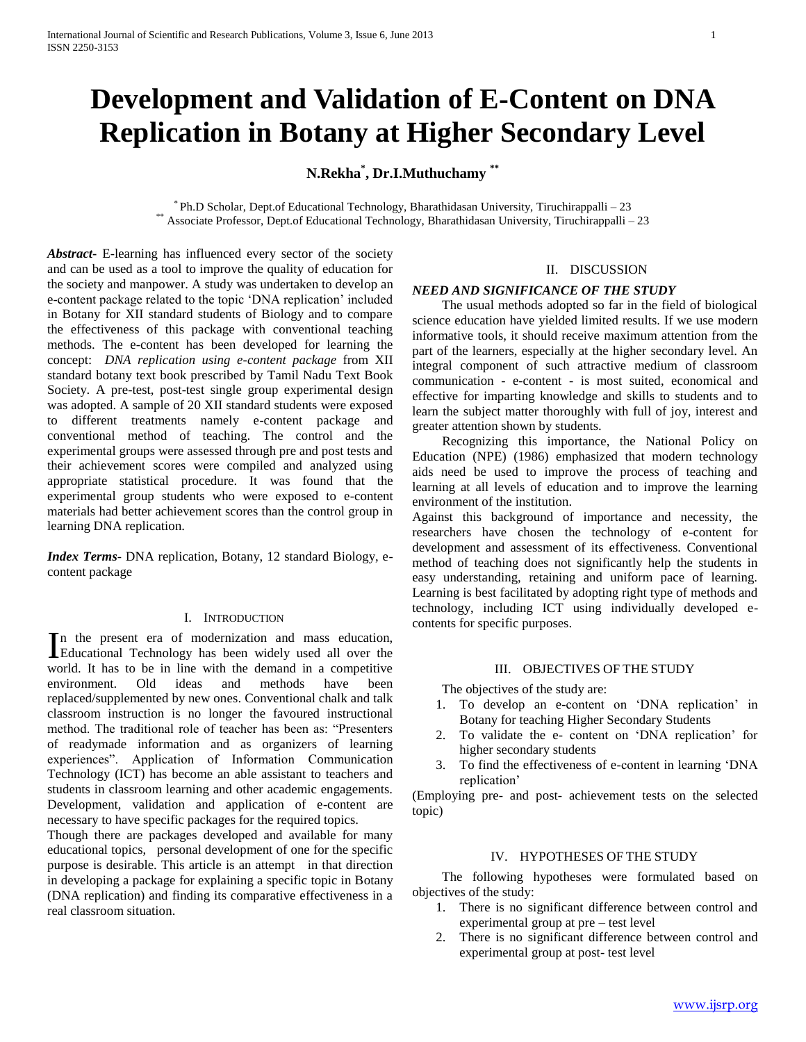# **Development and Validation of E-Content on DNA Replication in Botany at Higher Secondary Level**

# **N.Rekha\* , Dr.I.Muthuchamy \*\***

\* Ph.D Scholar, Dept.of Educational Technology, Bharathidasan University, Tiruchirappalli – 23 \*\* Associate Professor, Dept.of Educational Technology, Bharathidasan University, Tiruchirappalli – 23

*Abstract***-** E-learning has influenced every sector of the society and can be used as a tool to improve the quality of education for the society and manpower. A study was undertaken to develop an e-content package related to the topic 'DNA replication' included in Botany for XII standard students of Biology and to compare the effectiveness of this package with conventional teaching methods. The e-content has been developed for learning the concept: *DNA replication using e-content package* from XII standard botany text book prescribed by Tamil Nadu Text Book Society. A pre-test, post-test single group experimental design was adopted. A sample of 20 XII standard students were exposed to different treatments namely e-content package and conventional method of teaching. The control and the experimental groups were assessed through pre and post tests and their achievement scores were compiled and analyzed using appropriate statistical procedure. It was found that the experimental group students who were exposed to e-content materials had better achievement scores than the control group in learning DNA replication.

*Index Terms*- DNA replication, Botany, 12 standard Biology, econtent package

## I. INTRODUCTION

n the present era of modernization and mass education, In the present era of modernization and mass education,<br>Educational Technology has been widely used all over the world. It has to be in line with the demand in a competitive environment. Old ideas and methods have been replaced/supplemented by new ones. Conventional chalk and talk classroom instruction is no longer the favoured instructional method. The traditional role of teacher has been as: "Presenters of readymade information and as organizers of learning experiences". Application of Information Communication Technology (ICT) has become an able assistant to teachers and students in classroom learning and other academic engagements. Development, validation and application of e-content are necessary to have specific packages for the required topics.

Though there are packages developed and available for many educational topics, personal development of one for the specific purpose is desirable. This article is an attempt in that direction in developing a package for explaining a specific topic in Botany (DNA replication) and finding its comparative effectiveness in a real classroom situation.

# II. DISCUSSION

#### *NEED AND SIGNIFICANCE OF THE STUDY*

 The usual methods adopted so far in the field of biological science education have yielded limited results. If we use modern informative tools, it should receive maximum attention from the part of the learners, especially at the higher secondary level. An integral component of such attractive medium of classroom communication - e-content - is most suited, economical and effective for imparting knowledge and skills to students and to learn the subject matter thoroughly with full of joy, interest and greater attention shown by students.

 Recognizing this importance, the National Policy on Education (NPE) (1986) emphasized that modern technology aids need be used to improve the process of teaching and learning at all levels of education and to improve the learning environment of the institution.

Against this background of importance and necessity, the researchers have chosen the technology of e-content for development and assessment of its effectiveness. Conventional method of teaching does not significantly help the students in easy understanding, retaining and uniform pace of learning. Learning is best facilitated by adopting right type of methods and technology, including ICT using individually developed econtents for specific purposes.

# III. OBJECTIVES OF THE STUDY

The objectives of the study are:

- 1. To develop an e-content on 'DNA replication' in Botany for teaching Higher Secondary Students
- 2. To validate the e- content on 'DNA replication' for higher secondary students
- 3. To find the effectiveness of e-content in learning 'DNA replication'

(Employing pre- and post- achievement tests on the selected topic)

#### IV. HYPOTHESES OF THE STUDY

 The following hypotheses were formulated based on objectives of the study:

- 1. There is no significant difference between control and experimental group at pre – test level
- 2. There is no significant difference between control and experimental group at post- test level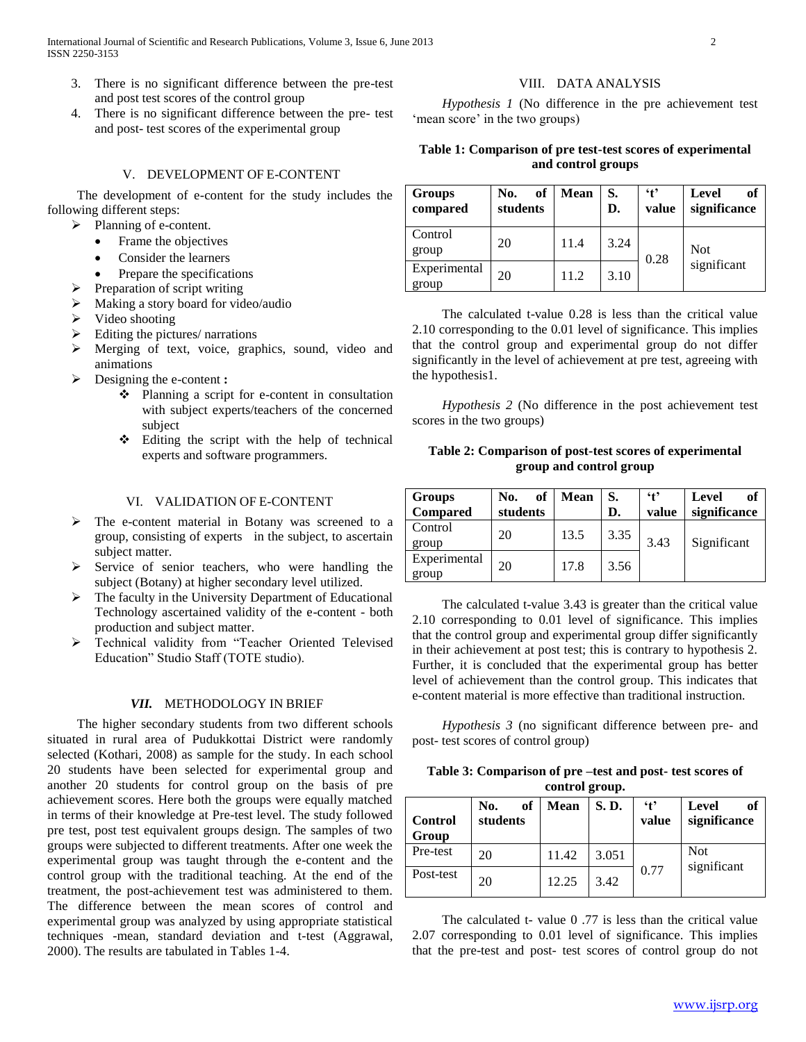- 3. There is no significant difference between the pre-test and post test scores of the control group
- 4. There is no significant difference between the pre- test and post- test scores of the experimental group

# V. DEVELOPMENT OF E-CONTENT

 The development of e-content for the study includes the following different steps:

- $\triangleright$  Planning of e-content.
	- Frame the objectives
	- Consider the learners
	- Prepare the specifications
- $\triangleright$  Preparation of script writing
- Making a story board for video/audio
- $\triangleright$  Video shooting
- $\triangleright$  Editing the pictures/ narrations
- Merging of text, voice, graphics, sound, video and animations
- Designing the e-content **:**
	- Planning a script for e-content in consultation with subject experts/teachers of the concerned subject
	- Editing the script with the help of technical experts and software programmers.

# VI. VALIDATION OF E-CONTENT

- > The e-content material in Botany was screened to a group, consisting of experts in the subject, to ascertain subject matter.
- $\triangleright$  Service of senior teachers, who were handling the subject (Botany) at higher secondary level utilized.
- $\triangleright$  The faculty in the University Department of Educational Technology ascertained validity of the e-content - both production and subject matter.
- Technical validity from "Teacher Oriented Televised Education" Studio Staff (TOTE studio).

#### *VII.* METHODOLOGY IN BRIEF

 The higher secondary students from two different schools situated in rural area of Pudukkottai District were randomly selected (Kothari, 2008) as sample for the study. In each school 20 students have been selected for experimental group and another 20 students for control group on the basis of pre achievement scores. Here both the groups were equally matched in terms of their knowledge at Pre-test level. The study followed pre test, post test equivalent groups design. The samples of two groups were subjected to different treatments. After one week the experimental group was taught through the e-content and the control group with the traditional teaching. At the end of the treatment, the post-achievement test was administered to them. The difference between the mean scores of control and experimental group was analyzed by using appropriate statistical techniques -mean, standard deviation and t-test (Aggrawal, 2000). The results are tabulated in Tables 1-4.

## VIII. DATA ANALYSIS

 *Hypothesis 1* (No difference in the pre achievement test 'mean score' in the two groups)

# **Table 1: Comparison of pre test-test scores of experimental and control groups**

| Groups<br>compared    | of<br>No.<br>students | Mean | S.<br>D. | $\ddot{\ }$<br>value | of<br>Level<br>significance |
|-----------------------|-----------------------|------|----------|----------------------|-----------------------------|
| Control<br>group      | 20                    | 11.4 | 3.24     | 0.28                 | <b>Not</b><br>significant   |
| Experimental<br>group | 20                    | 11.2 | 3.10     |                      |                             |

 The calculated t-value 0.28 is less than the critical value 2.10 corresponding to the 0.01 level of significance. This implies that the control group and experimental group do not differ significantly in the level of achievement at pre test, agreeing with the hypothesis1.

 *Hypothesis 2* (No difference in the post achievement test scores in the two groups)

# **Table 2: Comparison of post-test scores of experimental group and control group**

| <b>Groups</b>   | of<br>No. | Mean | S.   | 4 <sup>5</sup> | of<br>Level  |
|-----------------|-----------|------|------|----------------|--------------|
| <b>Compared</b> | students  |      | D.   | value          | significance |
| Control         | 20        | 13.5 | 3.35 |                |              |
| group           |           |      |      | 3.43           | Significant  |
| Experimental    | 20        | 17.8 | 3.56 |                |              |
| group           |           |      |      |                |              |

 The calculated t-value 3.43 is greater than the critical value 2.10 corresponding to 0.01 level of significance. This implies that the control group and experimental group differ significantly in their achievement at post test; this is contrary to hypothesis 2. Further, it is concluded that the experimental group has better level of achievement than the control group. This indicates that e-content material is more effective than traditional instruction.

 *Hypothesis 3* (no significant difference between pre- and post- test scores of control group)

| Table 3: Comparison of pre-test and post-test scores of |  |
|---------------------------------------------------------|--|
| control group.                                          |  |

| <b>Control</b><br>Group | of<br>No.<br>students | <b>Mean</b> | S.D.  | $\ddot{\mathbf{f}}$<br>value | of<br>Level<br>significance |
|-------------------------|-----------------------|-------------|-------|------------------------------|-----------------------------|
| Pre-test                | 20                    | 11.42       | 3.051 | 0.77                         | <b>Not</b><br>significant   |
| Post-test               | 20                    | 12.25       | 3.42  |                              |                             |

 The calculated t- value 0 .77 is less than the critical value 2.07 corresponding to 0.01 level of significance. This implies that the pre-test and post- test scores of control group do not